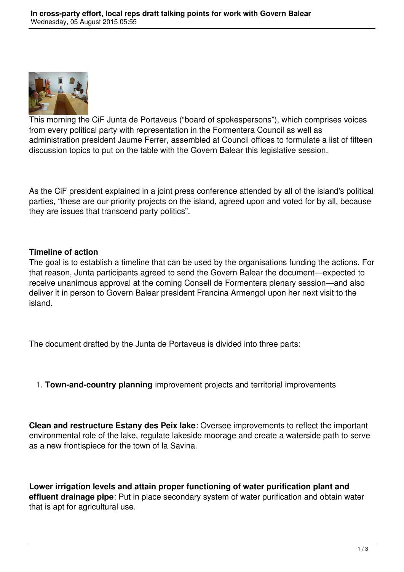

This morning the CiF Junta de Portaveus ("board of spokespersons"), which comprises voices from every political party with representation in the Formentera Council as well as administration president Jaume Ferrer, assembled at Council offices to formulate a list of fifteen discussion topics to put on the table with the Govern Balear this legislative session.

As the CiF president explained in a joint press conference attended by all of the island's political parties, "these are our priority projects on the island, agreed upon and voted for by all, because they are issues that transcend party politics".

## **Timeline of action**

The goal is to establish a timeline that can be used by the organisations funding the actions. For that reason, Junta participants agreed to send the Govern Balear the document—expected to receive unanimous approval at the coming Consell de Formentera plenary session—and also deliver it in person to Govern Balear president Francina Armengol upon her next visit to the island.

The document drafted by the Junta de Portaveus is divided into three parts:

1. **Town-and-country planning** improvement projects and territorial improvements

**Clean and restructure Estany des Peix lake**: Oversee improvements to reflect the important environmental role of the lake, regulate lakeside moorage and create a waterside path to serve as a new frontispiece for the town of la Savina.

**Lower irrigation levels and attain proper functioning of water purification plant and effluent drainage pipe**: Put in place secondary system of water purification and obtain water that is apt for agricultural use.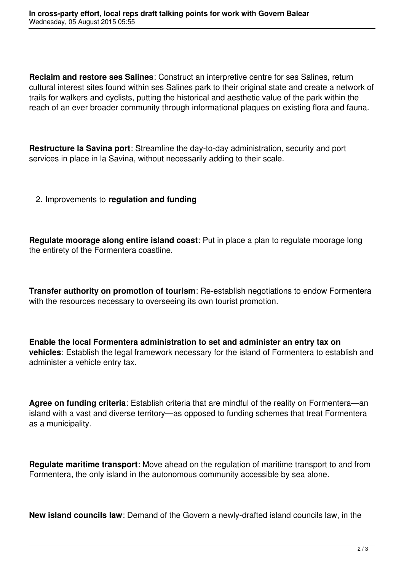**Reclaim and restore ses Salines**: Construct an interpretive centre for ses Salines, return cultural interest sites found within ses Salines park to their original state and create a network of trails for walkers and cyclists, putting the historical and aesthetic value of the park within the reach of an ever broader community through informational plaques on existing flora and fauna.

**Restructure la Savina port**: Streamline the day-to-day administration, security and port services in place in la Savina, without necessarily adding to their scale.

2. Improvements to **regulation and funding**

**Regulate moorage along entire island coast**: Put in place a plan to regulate moorage long the entirety of the Formentera coastline.

**Transfer authority on promotion of tourism**: Re-establish negotiations to endow Formentera with the resources necessary to overseeing its own tourist promotion.

**Enable the local Formentera administration to set and administer an entry tax on vehicles**: Establish the legal framework necessary for the island of Formentera to establish and administer a vehicle entry tax.

**Agree on funding criteria**: Establish criteria that are mindful of the reality on Formentera—an island with a vast and diverse territory—as opposed to funding schemes that treat Formentera as a municipality.

**Regulate maritime transport**: Move ahead on the regulation of maritime transport to and from Formentera, the only island in the autonomous community accessible by sea alone.

**New island councils law**: Demand of the Govern a newly-drafted island councils law, in the